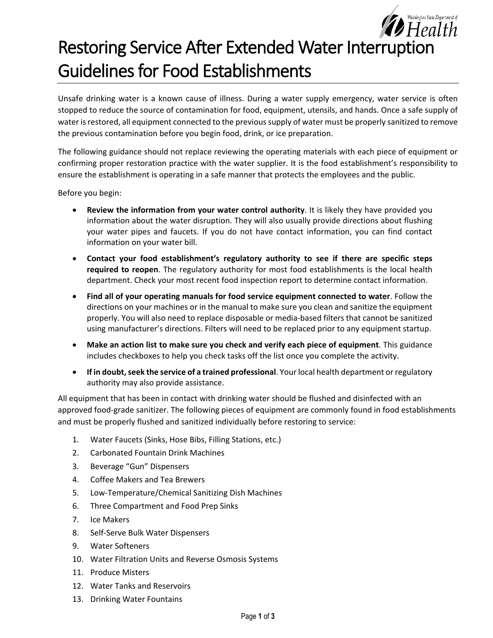# *Fealth* Restoring Service After Extended Water Interruption Guidelines for Food Establishments

Washington State Department of

Unsafe drinking water is a known cause of illness. During a water supply emergency, water service is often stopped to reduce the source of contamination for food, equipment, utensils, and hands. Once a safe supply of water is restored, all equipment connected to the previous supply of water must be properly sanitized to remove the previous contamination before you begin food, drink, or ice preparation.

The following guidance should not replace reviewing the operating materials with each piece of equipment or confirming proper restoration practice with the water supplier. It is the food establishment's responsibility to ensure the establishment is operating in a safe manner that protects the employees and the public.

Before you begin:

- **Review the information from your water control authority**. It is likely they have provided you information about the water disruption. They will also usually provide directions about flushing your water pipes and faucets. If you do not have contact information, you can find contact information on your water bill.
- **Contact your food establishment's regulatory authority to see if there are specific steps required to reopen**. The regulatory authority for most food establishments is the local health department. Check your most recent food inspection report to determine contact information.
- **Find all of your operating manuals for food service equipment connected to water**. Follow the directions on your machines or in the manual to make sure you clean and sanitize the equipment properly. You will also need to replace disposable or media-based filters that cannot be sanitized using manufacturer's directions. Filters will need to be replaced prior to any equipment startup.
- **Make an action list to make sure you check and verify each piece of equipment**. This guidance includes checkboxes to help you check tasks off the list once you complete the activity.
- **If in doubt, seek the service of a trained professional**. Your local health department or regulatory authority may also provide assistance.

All equipment that has been in contact with drinking water should be flushed and disinfected with an approved food-grade sanitizer. The following pieces of equipment are commonly found in food establishments and must be properly flushed and sanitized individually before restoring to service:

- 1. Water Faucets (Sinks, Hose Bibs, Filling Stations, etc.)
- 2. Carbonated Fountain Drink Machines
- 3. Beverage "Gun" Dispensers
- 4. Coffee Makers and Tea Brewers
- 5. Low-Temperature/Chemical Sanitizing Dish Machines
- 6. Three Compartment and Food Prep Sinks
- 7. Ice Makers
- 8. Self-Serve Bulk Water Dispensers
- 9. Water Softeners
- 10. Water Filtration Units and Reverse Osmosis Systems
- 11. Produce Misters
- 12. Water Tanks and Reservoirs
- 13. Drinking Water Fountains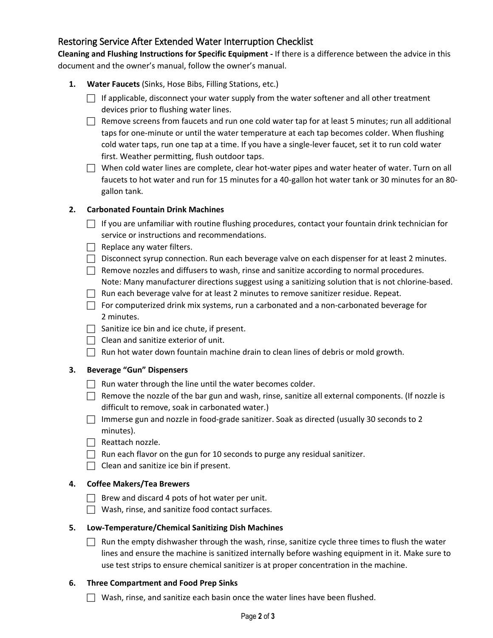# Restoring Service After Extended Water Interruption Checklist

**Cleaning and Flushing Instructions for Specific Equipment -** If there is a difference between the advice in this document and the owner's manual, follow the owner's manual.

- **1. Water Faucets** (Sinks, Hose Bibs, Filling Stations, etc.)
	- $\Box$  If applicable, disconnect your water supply from the water softener and all other treatment devices prior to flushing water lines.
	- $\Box$  Remove screens from faucets and run one cold water tap for at least 5 minutes; run all additional taps for one-minute or until the water temperature at each tap becomes colder. When flushing cold water taps, run one tap at a time. If you have a single-lever faucet, set it to run cold water first. Weather permitting, flush outdoor taps.
	- $\Box$  When cold water lines are complete, clear hot-water pipes and water heater of water. Turn on all faucets to hot water and run for 15 minutes for a 40-gallon hot water tank or 30 minutes for an 80 gallon tank.

#### **2. Carbonated Fountain Drink Machines**

- $\Box$  If you are unfamiliar with routine flushing procedures, contact your fountain drink technician for service or instructions and recommendations.
- $\Box$  Replace any water filters.
- $\Box$  Disconnect syrup connection. Run each beverage valve on each dispenser for at least 2 minutes.
- $\Box$  Remove nozzles and diffusers to wash, rinse and sanitize according to normal procedures. Note: Many manufacturer directions suggest using a sanitizing solution that is not chlorine-based.
- $\Box$  Run each beverage valve for at least 2 minutes to remove sanitizer residue. Repeat.
- $\Box$  For computerized drink mix systems, run a carbonated and a non-carbonated beverage for 2 minutes.
- $\Box$  Sanitize ice bin and ice chute, if present.
- $\Box$  Clean and sanitize exterior of unit.
- $\Box$  Run hot water down fountain machine drain to clean lines of debris or mold growth.

#### **3. Beverage "Gun" Dispensers**

- $\Box$  Run water through the line until the water becomes colder.
- $\Box$  Remove the nozzle of the bar gun and wash, rinse, sanitize all external components. (If nozzle is difficult to remove, soak in carbonated water.)
- Immerse gun and nozzle in food-grade sanitizer. Soak as directed (usually 30 seconds to 2 minutes).
- $\Box$  Reattach nozzle.
- $\Box$  Run each flavor on the gun for 10 seconds to purge any residual sanitizer.
- $\Box$  Clean and sanitize ice bin if present.

## **4. Coffee Makers/Tea Brewers**

- $\Box$  Brew and discard 4 pots of hot water per unit.
- $\Box$  Wash, rinse, and sanitize food contact surfaces.

#### **5. Low-Temperature/Chemical Sanitizing Dish Machines**

 $\Box$  Run the empty dishwasher through the wash, rinse, sanitize cycle three times to flush the water lines and ensure the machine is sanitized internally before washing equipment in it. Make sure to use test strips to ensure chemical sanitizer is at proper concentration in the machine.

#### **6. Three Compartment and Food Prep Sinks**

 $\Box$  Wash, rinse, and sanitize each basin once the water lines have been flushed.